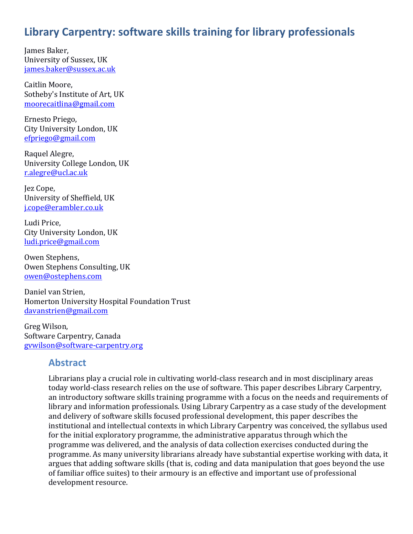# **Library Carpentry: software skills training for library professionals**

James Baker, University of Sussex, UK james.baker@sussex.ac.uk

Caitlin Moore, Sotheby's Institute of Art, UK moorecaitlina@gmail.com

Ernesto Priego, City University London, UK efpriego@gmail.com

Raquel Alegre, University College London, UK r.alegre@ucl.ac.uk

Jez Cope, University of Sheffield, UK j.cope@erambler.co.uk

Ludi Price, City University London, UK ludi.price@gmail.com

Owen Stephens, Owen Stephens Consulting, UK owen@ostephens.com

Daniel van Strien, Homerton University Hospital Foundation Trust davanstrien@gmail.com

Greg Wilson, Software Carpentry, Canada gvwilson@software-carpentry.org

#### **Abstract**

Librarians play a crucial role in cultivating world-class research and in most disciplinary areas today world-class research relies on the use of software. This paper describes Library Carpentry, an introductory software skills training programme with a focus on the needs and requirements of library and information professionals. Using Library Carpentry as a case study of the development and delivery of software skills focused professional development, this paper describes the institutional and intellectual contexts in which Library Carpentry was conceived, the syllabus used for the initial exploratory programme, the administrative apparatus through which the programme was delivered, and the analysis of data collection exercises conducted during the programme. As many university librarians already have substantial expertise working with data, it argues that adding software skills (that is, coding and data manipulation that goes beyond the use of familiar office suites) to their armoury is an effective and important use of professional development resource.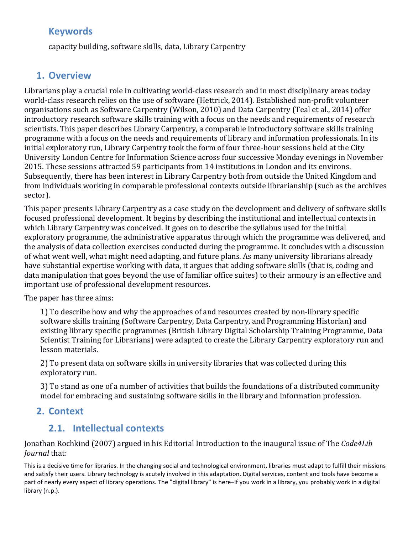## **Keywords**

capacity building, software skills, data, Library Carpentry

### **1. Overview**

Librarians play a crucial role in cultivating world-class research and in most disciplinary areas today world-class research relies on the use of software (Hettrick, 2014). Established non-profit volunteer organisations such as Software Carpentry (Wilson, 2010) and Data Carpentry (Teal et al., 2014) offer introductory research software skills training with a focus on the needs and requirements of research scientists. This paper describes Library Carpentry, a comparable introductory software skills training programme with a focus on the needs and requirements of library and information professionals. In its initial exploratory run, Library Carpentry took the form of four three-hour sessions held at the City University London Centre for Information Science across four successive Monday evenings in November 2015. These sessions attracted 59 participants from 14 institutions in London and its environs. Subsequently, there has been interest in Library Carpentry both from outside the United Kingdom and from individuals working in comparable professional contexts outside librarianship (such as the archives sector).

This paper presents Library Carpentry as a case study on the development and delivery of software skills focused professional development. It begins by describing the institutional and intellectual contexts in which Library Carpentry was conceived. It goes on to describe the syllabus used for the initial exploratory programme, the administrative apparatus through which the programme was delivered, and the analysis of data collection exercises conducted during the programme. It concludes with a discussion of what went well, what might need adapting, and future plans. As many university librarians already have substantial expertise working with data, it argues that adding software skills (that is, coding and data manipulation that goes beyond the use of familiar office suites) to their armoury is an effective and important use of professional development resources.

The paper has three aims:

1) To describe how and why the approaches of and resources created by non-library specific software skills training (Software Carpentry, Data Carpentry, and Programming Historian) and existing library specific programmes (British Library Digital Scholarship Training Programme, Data Scientist Training for Librarians) were adapted to create the Library Carpentry exploratory run and lesson materials.

2) To present data on software skills in university libraries that was collected during this exploratory run.

3) To stand as one of a number of activities that builds the foundations of a distributed community model for embracing and sustaining software skills in the library and information profession.

## **2. Context**

## **2.1. Intellectual contexts**

Jonathan Rochkind (2007) argued in his Editorial Introduction to the inaugural issue of The *Code4Lib Journal* that:

This is a decisive time for libraries. In the changing social and technological environment, libraries must adapt to fulfill their missions and satisfy their users. Library technology is acutely involved in this adaptation. Digital services, content and tools have become a part of nearly every aspect of library operations. The "digital library" is here–if you work in a library, you probably work in a digital library (n.p.).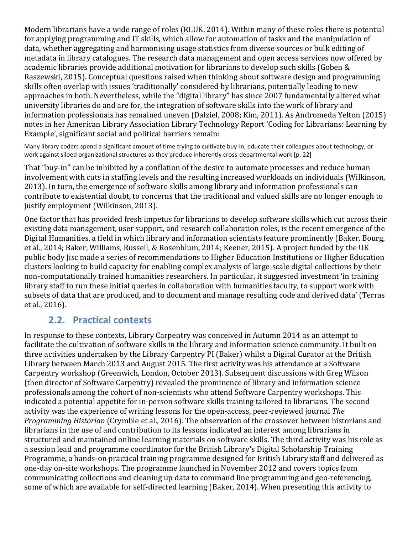Modern librarians have a wide range of roles (RLUK, 2014). Within many of these roles there is potential for applying programming and IT skills, which allow for automation of tasks and the manipulation of data, whether aggregating and harmonising usage statistics from diverse sources or bulk editing of metadata in library catalogues. The research data management and open access services now offered by academic libraries provide additional motivation for librarians to develop such skills (Goben & Raszewski, 2015). Conceptual questions raised when thinking about software design and programming skills often overlap with issues 'traditionally' considered by librarians, potentially leading to new approaches in both. Nevertheless, while the "digital library" has since 2007 fundamentally altered what university libraries do and are for, the integration of software skills into the work of library and information professionals has remained uneven (Dalziel, 2008; Kim, 2011). As Andromeda Yelton (2015) notes in her American Library Association Library Technology Report 'Coding for Librarians: Learning by Example', significant social and political barriers remain:

Many library coders spend a significant amount of time trying to cultivate buy-in, educate their colleagues about technology, or work against siloed organizational structures as they produce inherently cross-departmental work [p. 22]

That "buy-in" can be inhibited by a conflation of the desire to automate processes and reduce human involvement with cuts in staffing levels and the resulting increased workloads on individuals (Wilkinson, 2013). In turn, the emergence of software skills among library and information professionals can contribute to existential doubt, to concerns that the traditional and valued skills are no longer enough to justify employment (Wilkinson, 2013).

One factor that has provided fresh impetus for librarians to develop software skills which cut across their existing data management, user support, and research collaboration roles, is the recent emergence of the Digital Humanities, a field in which library and information scientists feature prominently (Baker, Bourg, et al., 2014; Baker, Williams, Russell, & Rosenblum, 2014; Keener, 2015). A project funded by the UK public body lisc made a series of recommendations to Higher Education Institutions or Higher Education clusters looking to build capacity for enabling complex analysis of large-scale digital collections by their non-computationally trained humanities researchers. In particular, it suggested investment 'in training library staff to run these initial queries in collaboration with humanities faculty, to support work with subsets of data that are produced, and to document and manage resulting code and derived data' (Terras et al., 2016).

## **2.2. Practical contexts**

In response to these contexts, Library Carpentry was conceived in Autumn 2014 as an attempt to facilitate the cultivation of software skills in the library and information science community. It built on three activities undertaken by the Library Carpentry PI (Baker) whilst a Digital Curator at the British Library between March 2013 and August 2015. The first activity was his attendance at a Software Carpentry workshop (Greenwich, London, October 2013). Subsequent discussions with Greg Wilson (then director of Software Carpentry) revealed the prominence of library and information science professionals among the cohort of non-scientists who attend Software Carpentry workshops. This indicated a potential appetite for in-person software skills training tailored to librarians. The second activity was the experience of writing lessons for the open-access, peer-reviewed journal *The Programming Historian* (Crymble et al., 2016). The observation of the crossover between historians and librarians in the use of and contribution to its lessons indicated an interest among librarians in structured and maintained online learning materials on software skills. The third activity was his role as a session lead and programme coordinator for the British Library's Digital Scholarship Training Programme, a hands-on practical training programme designed for British Library staff and delivered as one-day on-site workshops. The programme launched in November 2012 and covers topics from communicating collections and cleaning up data to command line programming and geo-referencing, some of which are available for self-directed learning (Baker, 2014). When presenting this activity to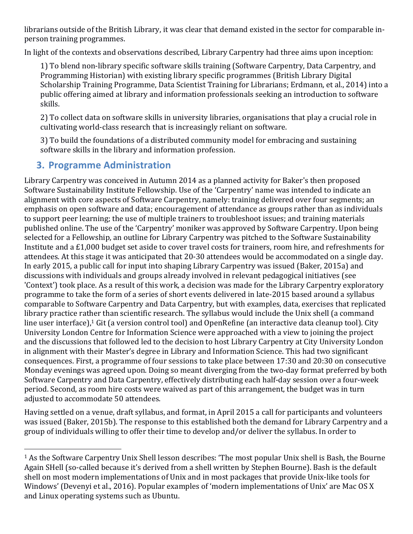librarians outside of the British Library, it was clear that demand existed in the sector for comparable inperson training programmes.

In light of the contexts and observations described, Library Carpentry had three aims upon inception:

1) To blend non-library specific software skills training (Software Carpentry, Data Carpentry, and Programming Historian) with existing library specific programmes (British Library Digital Scholarship Training Programme, Data Scientist Training for Librarians; Erdmann, et al., 2014) into a public offering aimed at library and information professionals seeking an introduction to software skills.

2) To collect data on software skills in university libraries, organisations that play a crucial role in cultivating world-class research that is increasingly reliant on software.

3) To build the foundations of a distributed community model for embracing and sustaining software skills in the library and information profession.

# **3. Programme Administration**

Library Carpentry was conceived in Autumn 2014 as a planned activity for Baker's then proposed Software Sustainability Institute Fellowship. Use of the 'Carpentry' name was intended to indicate an alignment with core aspects of Software Carpentry, namely: training delivered over four segments; an emphasis on open software and data; encouragement of attendance as groups rather than as individuals to support peer learning; the use of multiple trainers to troubleshoot issues; and training materials published online. The use of the 'Carpentry' moniker was approved by Software Carpentry. Upon being selected for a Fellowship, an outline for Library Carpentry was pitched to the Software Sustainability Institute and a £1,000 budget set aside to cover travel costs for trainers, room hire, and refreshments for attendees. At this stage it was anticipated that 20-30 attendees would be accommodated on a single day. In early 2015, a public call for input into shaping Library Carpentry was issued (Baker, 2015a) and discussions with individuals and groups already involved in relevant pedagogical initiatives (see 'Context') took place. As a result of this work, a decision was made for the Library Carpentry exploratory programme to take the form of a series of short events delivered in late-2015 based around a syllabus comparable to Software Carpentry and Data Carpentry, but with examples, data, exercises that replicated library practice rather than scientific research. The syllabus would include the Unix shell (a command line user interface),<sup>1</sup> Git (a version control tool) and OpenRefine (an interactive data cleanup tool). City University London Centre for Information Science were approached with a view to joining the project and the discussions that followed led to the decision to host Library Carpentry at City University London in alignment with their Master's degree in Library and Information Science. This had two significant consequences. First, a programme of four sessions to take place between 17:30 and 20:30 on consecutive Monday evenings was agreed upon. Doing so meant diverging from the two-day format preferred by both Software Carpentry and Data Carpentry, effectively distributing each half-day session over a four-week period. Second, as room hire costs were waived as part of this arrangement, the budget was in turn adjusted to accommodate 50 attendees.

Having settled on a venue, draft syllabus, and format, in April 2015 a call for participants and volunteers was issued (Baker, 2015b). The response to this established both the demand for Library Carpentry and a group of individuals willing to offer their time to develop and/or deliver the syllabus. In order to

  $1$  As the Software Carpentry Unix Shell lesson describes: 'The most popular Unix shell is Bash, the Bourne Again SHell (so-called because it's derived from a shell written by Stephen Bourne). Bash is the default shell on most modern implementations of Unix and in most packages that provide Unix-like tools for Windows' (Devenyi et al., 2016). Popular examples of 'modern implementations of Unix' are Mac OS X and Linux operating systems such as Ubuntu.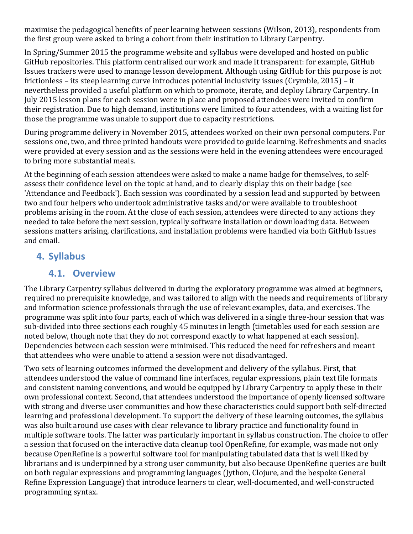maximise the pedagogical benefits of peer learning between sessions (Wilson, 2013), respondents from the first group were asked to bring a cohort from their institution to Library Carpentry.

In Spring/Summer 2015 the programme website and syllabus were developed and hosted on public GitHub repositories. This platform centralised our work and made it transparent: for example, GitHub Issues trackers were used to manage lesson development. Although using GitHub for this purpose is not frictionless – its steep learning curve introduces potential inclusivity issues (Crymble, 2015) – it nevertheless provided a useful platform on which to promote, iterate, and deploy Library Carpentry. In July 2015 lesson plans for each session were in place and proposed attendees were invited to confirm their registration. Due to high demand, institutions were limited to four attendees, with a waiting list for those the programme was unable to support due to capacity restrictions.

During programme delivery in November 2015, attendees worked on their own personal computers. For sessions one, two, and three printed handouts were provided to guide learning. Refreshments and snacks were provided at every session and as the sessions were held in the evening attendees were encouraged to bring more substantial meals.

At the beginning of each session attendees were asked to make a name badge for themselves, to selfassess their confidence level on the topic at hand, and to clearly display this on their badge (see 'Attendance and Feedback'). Each session was coordinated by a session lead and supported by between two and four helpers who undertook administrative tasks and/or were available to troubleshoot problems arising in the room. At the close of each session, attendees were directed to any actions they needed to take before the next session, typically software installation or downloading data. Between sessions matters arising, clarifications, and installation problems were handled via both GitHub Issues and email.

## **4. Syllabus**

### **4.1. Overview**

The Library Carpentry syllabus delivered in during the exploratory programme was aimed at beginners, required no prerequisite knowledge, and was tailored to align with the needs and requirements of library and information science professionals through the use of relevant examples, data, and exercises. The programme was split into four parts, each of which was delivered in a single three-hour session that was sub-divided into three sections each roughly 45 minutes in length (timetables used for each session are noted below, though note that they do not correspond exactly to what happened at each session). Dependencies between each session were minimised. This reduced the need for refreshers and meant that attendees who were unable to attend a session were not disadvantaged.

Two sets of learning outcomes informed the development and delivery of the syllabus. First, that attendees understood the value of command line interfaces, regular expressions, plain text file formats and consistent naming conventions, and would be equipped by Library Carpentry to apply these in their own professional context. Second, that attendees understood the importance of openly licensed software with strong and diverse user communities and how these characteristics could support both self-directed learning and professional development. To support the delivery of these learning outcomes, the syllabus was also built around use cases with clear relevance to library practice and functionality found in multiple software tools. The latter was particularly important in syllabus construction. The choice to offer a session that focused on the interactive data cleanup tool OpenRefine, for example, was made not only because OpenRefine is a powerful software tool for manipulating tabulated data that is well liked by librarians and is underpinned by a strong user community, but also because OpenRefine queries are built on both regular expressions and programming languages (Jython, Clojure, and the bespoke General Refine Expression Language) that introduce learners to clear, well-documented, and well-constructed programming syntax.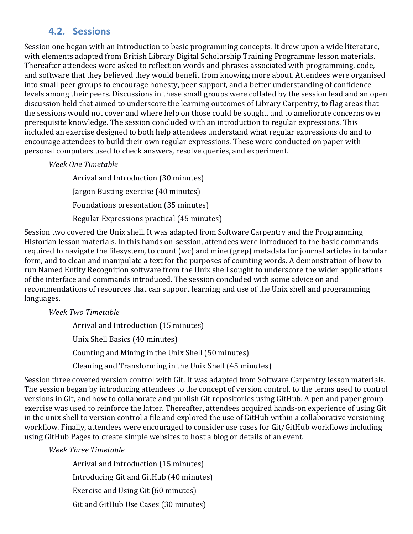# **4.2. Sessions**

Session one began with an introduction to basic programming concepts. It drew upon a wide literature, with elements adapted from British Library Digital Scholarship Training Programme lesson materials. Thereafter attendees were asked to reflect on words and phrases associated with programming, code, and software that they believed they would benefit from knowing more about. Attendees were organised into small peer groups to encourage honesty, peer support, and a better understanding of confidence levels among their peers. Discussions in these small groups were collated by the session lead and an open discussion held that aimed to underscore the learning outcomes of Library Carpentry, to flag areas that the sessions would not cover and where help on those could be sought, and to ameliorate concerns over prerequisite knowledge. The session concluded with an introduction to regular expressions. This included an exercise designed to both help attendees understand what regular expressions do and to encourage attendees to build their own regular expressions. These were conducted on paper with personal computers used to check answers, resolve queries, and experiment.

#### *Week One Timetable*

Arrival and Introduction (30 minutes) Jargon Busting exercise (40 minutes) Foundations presentation (35 minutes) Regular Expressions practical (45 minutes)

Session two covered the Unix shell. It was adapted from Software Carpentry and the Programming Historian lesson materials. In this hands on-session, attendees were introduced to the basic commands required to navigate the filesystem, to count (wc) and mine (grep) metadata for journal articles in tabular form, and to clean and manipulate a text for the purposes of counting words. A demonstration of how to run Named Entity Recognition software from the Unix shell sought to underscore the wider applications of the interface and commands introduced. The session concluded with some advice on and recommendations of resources that can support learning and use of the Unix shell and programming languages.

#### *Week Two Timetable*

Arrival and Introduction (15 minutes) Unix Shell Basics (40 minutes) Counting and Mining in the Unix Shell (50 minutes) Cleaning and Transforming in the Unix Shell (45 minutes)

Session three covered version control with Git. It was adapted from Software Carpentry lesson materials. The session began by introducing attendees to the concept of version control, to the terms used to control versions in Git, and how to collaborate and publish Git repositories using GitHub. A pen and paper group exercise was used to reinforce the latter. Thereafter, attendees acquired hands-on experience of using Git in the unix shell to version control a file and explored the use of GitHub within a collaborative versioning workflow. Finally, attendees were encouraged to consider use cases for Git/GitHub workflows including using GitHub Pages to create simple websites to host a blog or details of an event.

#### *Week Three Timetable*

Arrival and Introduction (15 minutes) Introducing Git and GitHub (40 minutes) Exercise and Using Git (60 minutes) Git and GitHub Use Cases (30 minutes)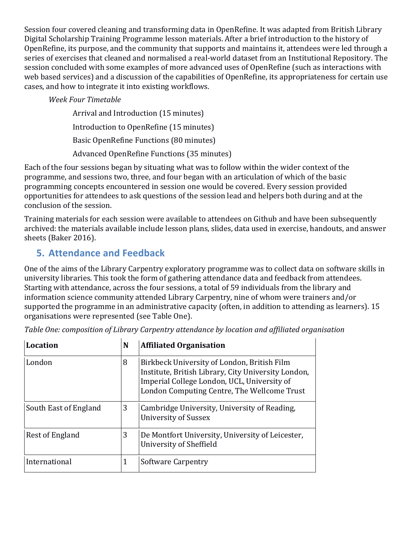Session four covered cleaning and transforming data in OpenRefine. It was adapted from British Library Digital Scholarship Training Programme lesson materials. After a brief introduction to the history of OpenRefine, its purpose, and the community that supports and maintains it, attendees were led through a series of exercises that cleaned and normalised a real-world dataset from an Institutional Repository. The session concluded with some examples of more advanced uses of OpenRefine (such as interactions with web based services) and a discussion of the capabilities of OpenRefine, its appropriateness for certain use cases, and how to integrate it into existing workflows.

#### *Week Four Timetable*

Arrival and Introduction (15 minutes) Introduction to OpenRefine (15 minutes) Basic OpenRefine Functions (80 minutes) Advanced OpenRefine Functions (35 minutes)

Each of the four sessions began by situating what was to follow within the wider context of the programme, and sessions two, three, and four began with an articulation of which of the basic programming concepts encountered in session one would be covered. Every session provided opportunities for attendees to ask questions of the session lead and helpers both during and at the conclusion of the session.

Training materials for each session were available to attendees on Github and have been subsequently archived: the materials available include lesson plans, slides, data used in exercise, handouts, and answer sheets (Baker 2016).

# **5. Attendance and Feedback**

One of the aims of the Library Carpentry exploratory programme was to collect data on software skills in university libraries. This took the form of gathering attendance data and feedback from attendees. Starting with attendance, across the four sessions, a total of 59 individuals from the library and information science community attended Library Carpentry, nine of whom were trainers and/or supported the programme in an administrative capacity (often, in addition to attending as learners). 15 organisations were represented (see Table One).

| <b>Location</b>       | N | <b>Affiliated Organisation</b>                                                                                                                                                                   |
|-----------------------|---|--------------------------------------------------------------------------------------------------------------------------------------------------------------------------------------------------|
| London                | 8 | Birkbeck University of London, British Film<br>Institute, British Library, City University London,<br>Imperial College London, UCL, University of<br>London Computing Centre, The Wellcome Trust |
| South East of England | 3 | Cambridge University, University of Reading,<br><b>University of Sussex</b>                                                                                                                      |
| Rest of England       | 3 | De Montfort University, University of Leicester,<br>University of Sheffield                                                                                                                      |
| International         | 1 | Software Carpentry                                                                                                                                                                               |

Table One: composition of Library Carpentry attendance by location and affiliated organisation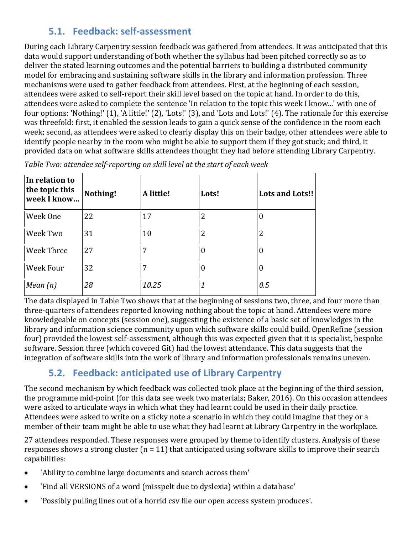# **5.1. Feedback: self-assessment**

During each Library Carpentry session feedback was gathered from attendees. It was anticipated that this data would support understanding of both whether the syllabus had been pitched correctly so as to deliver the stated learning outcomes and the potential barriers to building a distributed community model for embracing and sustaining software skills in the library and information profession. Three mechanisms were used to gather feedback from attendees. First, at the beginning of each session, attendees were asked to self-report their skill level based on the topic at hand. In order to do this, attendees were asked to complete the sentence 'In relation to the topic this week I know...' with one of four options: 'Nothing!'  $(1)$ , 'A little!'  $(2)$ , 'Lots!'  $(3)$ , and 'Lots and Lots!'  $(4)$ . The rationale for this exercise was threefold: first, it enabled the session leads to gain a quick sense of the confidence in the room each week; second, as attendees were asked to clearly display this on their badge, other attendees were able to identify people nearby in the room who might be able to support them if they got stuck; and third, it provided data on what software skills attendees thought they had before attending Library Carpentry.

| In relation to<br>the topic this<br>week I know | Nothing! | A little! | Lots!            | <b>Lots and Lots!!</b> |
|-------------------------------------------------|----------|-----------|------------------|------------------------|
| Week One                                        | 22       | 17        | 2                | 0                      |
| Week Two                                        | 31       | 10        | 2                | 2                      |
| Week Three                                      | 27       | 7         | $\boldsymbol{0}$ | 0                      |
| Week Four                                       | 32       | 7         | $\boldsymbol{0}$ | $\boldsymbol{0}$       |
| Mean $(n)$                                      | 28       | 10.25     | 1                | 0.5                    |

Table Two: attendee self-reporting on skill level at the start of each week

The data displayed in Table Two shows that at the beginning of sessions two, three, and four more than three-quarters of attendees reported knowing nothing about the topic at hand. Attendees were more knowledgeable on concepts (session one), suggesting the existence of a basic set of knowledges in the library and information science community upon which software skills could build. OpenRefine (session four) provided the lowest self-assessment, although this was expected given that it is specialist, bespoke software. Session three (which covered Git) had the lowest attendance. This data suggests that the integration of software skills into the work of library and information professionals remains uneven.

# **5.2. Feedback: anticipated use of Library Carpentry**

The second mechanism by which feedback was collected took place at the beginning of the third session, the programme mid-point (for this data see week two materials; Baker, 2016). On this occasion attendees were asked to articulate ways in which what they had learnt could be used in their daily practice. Attendees were asked to write on a sticky note a scenario in which they could imagine that they or a member of their team might be able to use what they had learnt at Library Carpentry in the workplace.

27 attendees responded. These responses were grouped by theme to identify clusters. Analysis of these responses shows a strong cluster  $(n = 11)$  that anticipated using software skills to improve their search capabilities:

- 'Ability to combine large documents and search across them'
- 'Find all VERSIONS of a word (misspelt due to dyslexia) within a database'
- 'Possibly pulling lines out of a horrid csv file our open access system produces'.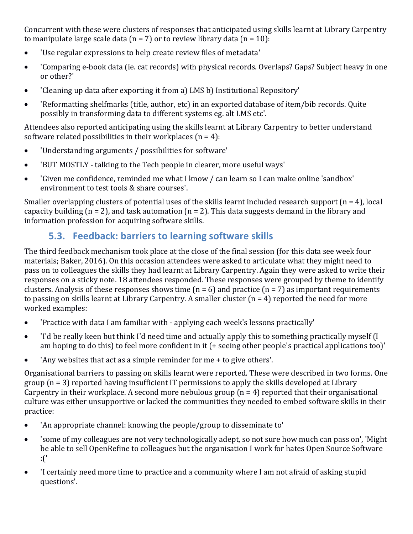Concurrent with these were clusters of responses that anticipated using skills learnt at Library Carpentry to manipulate large scale data  $(n = 7)$  or to review library data  $(n = 10)$ :

- 'Use regular expressions to help create review files of metadata'
- 'Comparing e-book data (ie. cat records) with physical records. Overlaps? Gaps? Subject heavy in one or other?'
- Cleaning up data after exporting it from a) LMS b) Institutional Repository'
- 'Reformatting shelfmarks (title, author, etc) in an exported database of item/bib records. Quite possibly in transforming data to different systems eg. alt LMS etc'.

Attendees also reported anticipating using the skills learnt at Library Carpentry to better understand software related possibilities in their workplaces  $(n = 4)$ :

- Understanding arguments / possibilities for software'
- SUT MOSTLY talking to the Tech people in clearer, more useful ways'
- 'Given me confidence, reminded me what I know / can learn so I can make online 'sandbox' environment to test tools & share courses'.

Smaller overlapping clusters of potential uses of the skills learnt included research support  $(n = 4)$ , local capacity building ( $n = 2$ ), and task automation ( $n = 2$ ). This data suggests demand in the library and information profession for acquiring software skills.

# **5.3. Feedback: barriers to learning software skills**

The third feedback mechanism took place at the close of the final session (for this data see week four materials; Baker, 2016). On this occasion attendees were asked to articulate what they might need to pass on to colleagues the skills they had learnt at Library Carpentry. Again they were asked to write their responses on a sticky note. 18 attendees responded. These responses were grouped by theme to identify clusters. Analysis of these responses shows time  $(n = 6)$  and practice  $(n = 7)$  as important requirements to passing on skills learnt at Library Carpentry. A smaller cluster  $(n = 4)$  reported the need for more worked examples:

- 'Practice with data I am familiar with applying each week's lessons practically'
- I'd be really keen but think I'd need time and actually apply this to something practically myself (I am hoping to do this) to feel more confident in it  $($ + seeing other people's practical applications too)'
- 'Any websites that act as a simple reminder for me  $+$  to give others'.

Organisational barriers to passing on skills learnt were reported. These were described in two forms. One group  $(n = 3)$  reported having insufficient IT permissions to apply the skills developed at Library Carpentry in their workplace. A second more nebulous group  $(n = 4)$  reported that their organisational culture was either unsupportive or lacked the communities they needed to embed software skills in their practice:

- 'An appropriate channel: knowing the people/group to disseminate to'
- 'some of my colleagues are not very technologically adept, so not sure how much can pass on', 'Might be able to sell OpenRefine to colleagues but the organisation I work for hates Open Source Software :('
- T certainly need more time to practice and a community where I am not afraid of asking stupid questions'.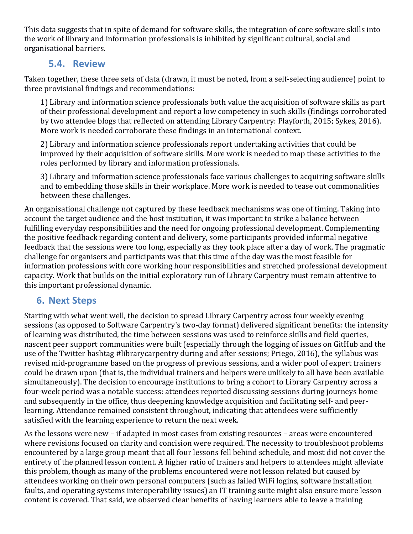This data suggests that in spite of demand for software skills, the integration of core software skills into the work of library and information professionals is inhibited by significant cultural, social and organisational barriers.

## **5.4. Review**

Taken together, these three sets of data (drawn, it must be noted, from a self-selecting audience) point to three provisional findings and recommendations:

1) Library and information science professionals both value the acquisition of software skills as part of their professional development and report a low competency in such skills (findings corroborated by two attendee blogs that reflected on attending Library Carpentry: Playforth, 2015; Sykes, 2016). More work is needed corroborate these findings in an international context.

2) Library and information science professionals report undertaking activities that could be improved by their acquisition of software skills. More work is needed to map these activities to the roles performed by library and information professionals.

3) Library and information science professionals face various challenges to acquiring software skills and to embedding those skills in their workplace. More work is needed to tease out commonalities between these challenges.

An organisational challenge not captured by these feedback mechanisms was one of timing. Taking into account the target audience and the host institution, it was important to strike a balance between fulfilling everyday responsibilities and the need for ongoing professional development. Complementing the positive feedback regarding content and delivery, some participants provided informal negative feedback that the sessions were too long, especially as they took place after a day of work. The pragmatic challenge for organisers and participants was that this time of the day was the most feasible for information professions with core working hour responsibilities and stretched professional development capacity. Work that builds on the initial exploratory run of Library Carpentry must remain attentive to this important professional dynamic.

# **6. Next Steps**

Starting with what went well, the decision to spread Library Carpentry across four weekly evening sessions (as opposed to Software Carpentry's two-day format) delivered significant benefits: the intensity of learning was distributed, the time between sessions was used to reinforce skills and field queries, nascent peer support communities were built (especially through the logging of issues on GitHub and the use of the Twitter hashtag #librarycarpentry during and after sessions; Priego, 2016), the syllabus was revised mid-programme based on the progress of previous sessions, and a wider pool of expert trainers could be drawn upon (that is, the individual trainers and helpers were unlikely to all have been available simultaneously). The decision to encourage institutions to bring a cohort to Library Carpentry across a four-week period was a notable success: attendees reported discussing sessions during journeys home and subsequently in the office, thus deepening knowledge acquisition and facilitating self- and peerlearning. Attendance remained consistent throughout, indicating that attendees were sufficiently satisfied with the learning experience to return the next week.

As the lessons were new – if adapted in most cases from existing resources – areas were encountered where revisions focused on clarity and concision were required. The necessity to troubleshoot problems encountered by a large group meant that all four lessons fell behind schedule, and most did not cover the entirety of the planned lesson content. A higher ratio of trainers and helpers to attendees might alleviate this problem, though as many of the problems encountered were not lesson related but caused by attendees working on their own personal computers (such as failed WiFi logins, software installation faults, and operating systems interoperability issues) an IT training suite might also ensure more lesson content is covered. That said, we observed clear benefits of having learners able to leave a training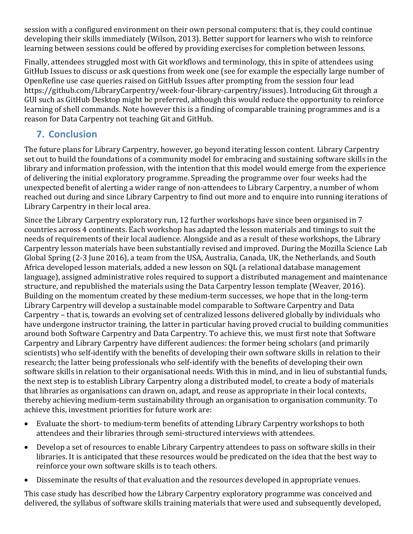session with a configured environment on their own personal computers: that is, they could continue developing their skills immediately (Wilson, 2013). Better support for learners who wish to reinforce learning between sessions could be offered by providing exercises for completion between lessons.

Finally, attendees struggled most with Git workflows and terminology, this in spite of attendees using GitHub Issues to discuss or ask questions from week one (see for example the especially large number of OpenRefine use case queries raised on GitHub Issues after prompting from the session four lead https://github.com/LibraryCarpentry/week-four-library-carpentry/issues). Introducing Git through a GUI such as GitHub Desktop might be preferred, although this would reduce the opportunity to reinforce learning of shell commands. Note however this is a finding of comparable training programmes and is a reason for Data Carpentry not teaching Git and GitHub.

# **7. Conclusion**

The future plans for Library Carpentry, however, go beyond iterating lesson content. Library Carpentry set out to build the foundations of a community model for embracing and sustaining software skills in the library and information profession, with the intention that this model would emerge from the experience of delivering the initial exploratory programme. Spreading the programme over four weeks had the unexpected benefit of alerting a wider range of non-attendees to Library Carpentry, a number of whom reached out during and since Library Carpentry to find out more and to enquire into running iterations of Library Carpentry in their local area.

Since the Library Carpentry exploratory run, 12 further workshops have since been organised in 7 countries across 4 continents. Each workshop has adapted the lesson materials and timings to suit the needs of requirements of their local audience. Alongside and as a result of these workshops, the Library Carpentry lesson materials have been substantially revised and improved. During the Mozilla Science Lab Global Spring (2-3 June 2016), a team from the USA, Australia, Canada, UK, the Netherlands, and South Africa developed lesson materials, added a new lesson on SQL (a relational database management language), assigned administrative roles required to support a distributed management and maintenance structure, and republished the materials using the Data Carpentry lesson template (Weaver, 2016). Building on the momentum created by these medium-term successes, we hope that in the long-term Library Carpentry will develop a sustainable model comparable to Software Carpentry and Data Carpentry – that is, towards an evolving set of centralized lessons delivered globally by individuals who have undergone instructor training, the latter in particular having proved crucial to building communities around both Software Carpentry and Data Carpentry. To achieve this, we must first note that Software Carpentry and Library Carpentry have different audiences: the former being scholars (and primarily scientists) who self-identify with the benefits of developing their own software skills in relation to their research; the latter being professionals who self-identify with the benefits of developing their own software skills in relation to their organisational needs. With this in mind, and in lieu of substantial funds, the next step is to establish Library Carpentry along a distributed model, to create a body of materials that libraries as organisations can drawn on, adapt, and reuse as appropriate in their local contexts, thereby achieving medium-term sustainability through an organisation to organisation community. To achieve this, investment priorities for future work are:

- Evaluate the short- to medium-term benefits of attending Library Carpentry workshops to both attendees and their libraries through semi-structured interviews with attendees.
- Develop a set of resources to enable Library Carpentry attendees to pass on software skills in their libraries. It is anticipated that these resources would be predicated on the idea that the best way to reinforce your own software skills is to teach others.
- Disseminate the results of that evaluation and the resources developed in appropriate venues.

This case study has described how the Library Carpentry exploratory programme was conceived and delivered, the syllabus of software skills training materials that were used and subsequently developed,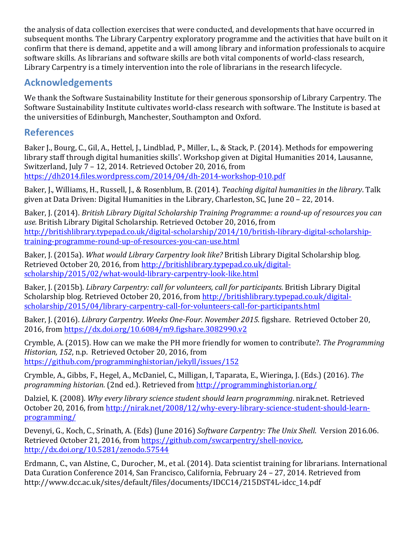the analysis of data collection exercises that were conducted, and developments that have occurred in subsequent months. The Library Carpentry exploratory programme and the activities that have built on it confirm that there is demand, appetite and a will among library and information professionals to acquire software skills. As librarians and software skills are both vital components of world-class research, Library Carpentry is a timely intervention into the role of librarians in the research lifecycle.

## **Acknowledgements**

We thank the Software Sustainability Institute for their generous sponsorship of Library Carpentry. The Software Sustainability Institute cultivates world-class research with software. The Institute is based at the universities of Edinburgh, Manchester, Southampton and Oxford.

## **References**

Baker J., Bourg, C., Gil, A., Hettel, J., Lindblad, P., Miller, L., & Stack, P. (2014). Methods for empowering library staff through digital humanities skills'. Workshop given at Digital Humanities 2014, Lausanne, Switzerland, July  $7 - 12$ , 2014. Retrieved October 20, 2016, from https://dh2014.files.wordpress.com/2014/04/dh-2014-workshop-010.pdf

Baker, J., Williams, H., Russell, J., & Rosenblum, B. (2014). *Teaching digital humanities in the library*. Talk given at Data Driven: Digital Humanities in the Library, Charleston, SC, June  $20 - 22$ , 2014.

Baker, J. (2014). *British Library Digital Scholarship Training Programme: a round-up of resources you can use.* British Library Digital Scholarship. Retrieved October 20, 2016, from http://britishlibrary.typepad.co.uk/digital-scholarship/2014/10/british-library-digital-scholarshiptraining-programme-round-up-of-resources-you-can-use.html

Baker, J. (2015a). *What would Library Carpentry look like?* British Library Digital Scholarship blog. Retrieved October 20, 2016, from http://britishlibrary.typepad.co.uk/digitalscholarship/2015/02/what-would-library-carpentry-look-like.html

Baker, J. (2015b). *Library Carpentry: call for volunteers, call for participants*. British Library Digital Scholarship blog. Retrieved October 20, 2016, from http://britishlibrary.typepad.co.uk/digitalscholarship/2015/04/library-carpentry-call-for-volunteers-call-for-participants.html

Baker, J. (2016). *Library Carpentry. Weeks One-Four. November 2015*. figshare. Retrieved October 20, 2016, from https://dx.doi.org/10.6084/m9.figshare.3082990.v2

Crymble, A. (2015). How can we make the PH more friendly for women to contribute?. *The Programming Historian, 152, n.p.* Retrieved October 20, 2016, from https://github.com/programminghistorian/jekyll/issues/152

Crymble, A., Gibbs, F., Hegel, A., McDaniel, C., Milligan, I, Taparata, E., Wieringa, J. (Eds.) (2016). The programming historian. (2nd ed.). Retrieved from http://programminghistorian.org/

Dalziel, K. (2008). *Why every library science student should learn programming*. nirak.net. Retrieved October 20, 2016, from http://nirak.net/2008/12/why-every-library-science-student-should-learnprogramming/

Devenyi, G., Koch, C., Srinath, A. (Eds) (June 2016) Software Carpentry: The Unix Shell. Version 2016.06. Retrieved October 21, 2016, from https://github.com/swcarpentry/shell-novice, http://dx.doi.org/10.5281/zenodo.57544

Erdmann, C., van Alstine, C., Durocher, M., et al. (2014). Data scientist training for librarians. International Data Curation Conference 2014, San Francisco, California, February 24 - 27, 2014. Retrieved from http://www.dcc.ac.uk/sites/default/files/documents/IDCC14/215DST4L-idcc\_14.pdf